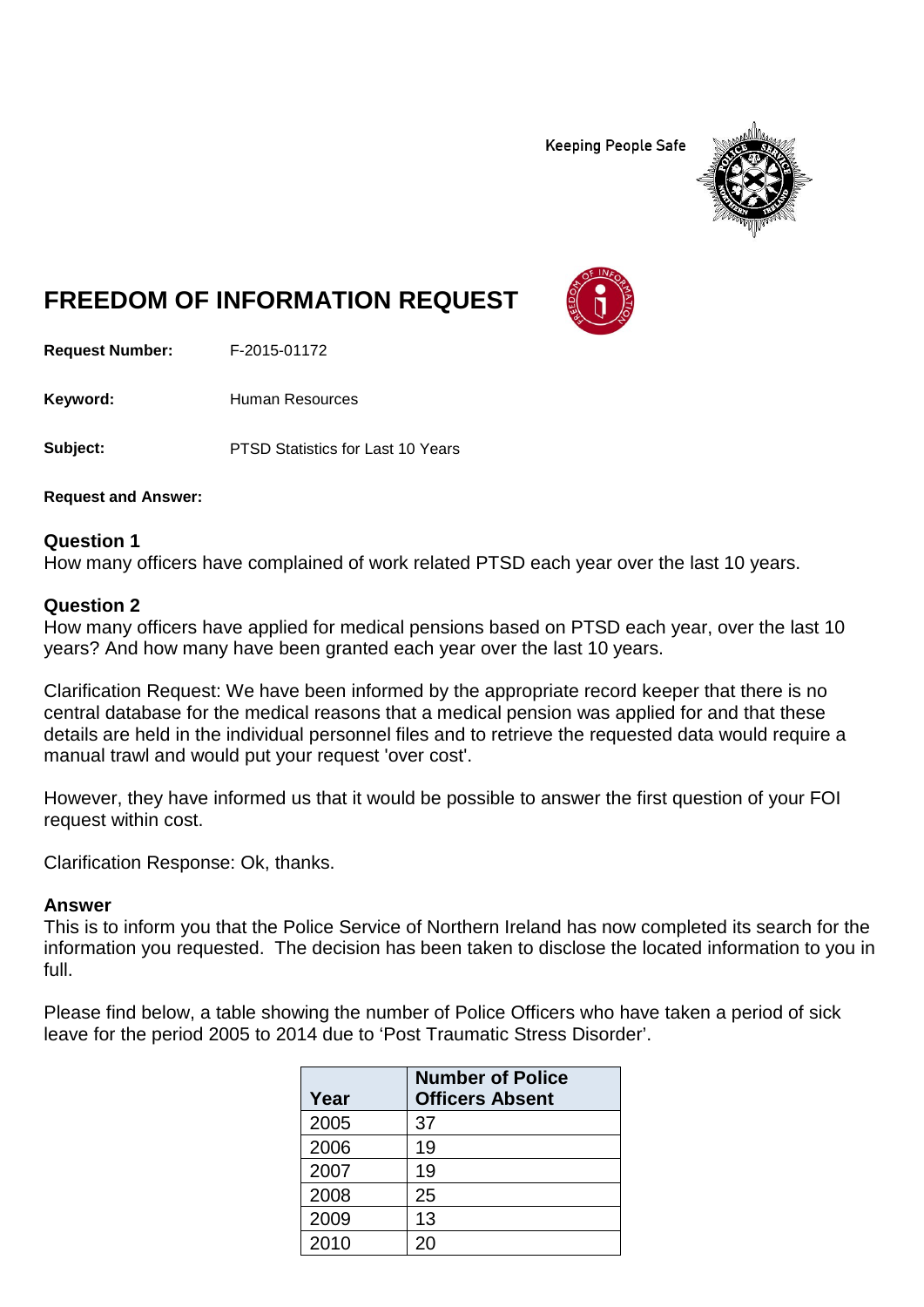**Keeping People Safe** 



## **FREEDOM OF INFORMATION REQUEST**

**Request Number:** F-2015-01172

Keyword: Human Resources

**Subject:** PTSD Statistics for Last 10 Years

**Request and Answer:**

## **Question 1**

How many officers have complained of work related PTSD each year over the last 10 years.

## **Question 2**

How many officers have applied for medical pensions based on PTSD each year, over the last 10 years? And how many have been granted each year over the last 10 years.

Clarification Request: We have been informed by the appropriate record keeper that there is no central database for the medical reasons that a medical pension was applied for and that these details are held in the individual personnel files and to retrieve the requested data would require a manual trawl and would put your request 'over cost'.

However, they have informed us that it would be possible to answer the first question of your FOI request within cost.

Clarification Response: Ok, thanks.

## **Answer**

This is to inform you that the Police Service of Northern Ireland has now completed its search for the information you requested. The decision has been taken to disclose the located information to you in full.

Please find below, a table showing the number of Police Officers who have taken a period of sick leave for the period 2005 to 2014 due to 'Post Traumatic Stress Disorder'.

| Year | <b>Number of Police</b><br><b>Officers Absent</b> |
|------|---------------------------------------------------|
| 2005 | 37                                                |
| 2006 | 19                                                |
| 2007 | 19                                                |
| 2008 | 25                                                |
| 2009 | 13                                                |
| 2010 | 20                                                |